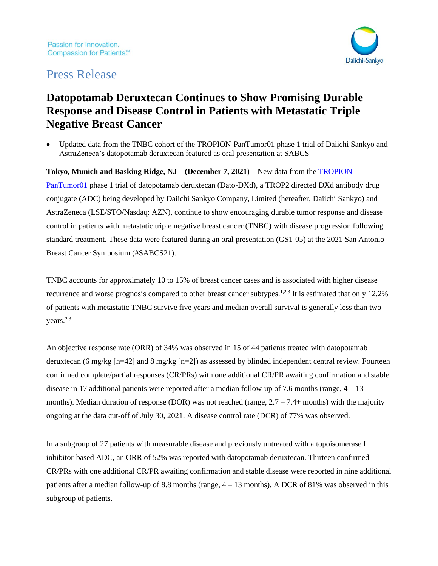

# Press Release

## **Datopotamab Deruxtecan Continues to Show Promising Durable Response and Disease Control in Patients with Metastatic Triple Negative Breast Cancer**

• Updated data from the TNBC cohort of the TROPION-PanTumor01 phase 1 trial of Daiichi Sankyo and AstraZeneca's datopotamab deruxtecan featured as oral presentation at SABCS

**Tokyo, Munich and Basking Ridge, NJ – (December 7, 2021)** – New data from the [TROPION-](https://clinicaltrials.gov/ct2/show/NCT03401385)[PanTumor01](https://clinicaltrials.gov/ct2/show/NCT03401385) phase 1 trial of datopotamab deruxtecan (Dato-DXd), a TROP2 directed DXd antibody drug conjugate (ADC) being developed by Daiichi Sankyo Company, Limited (hereafter, Daiichi Sankyo) and AstraZeneca (LSE/STO/Nasdaq: AZN), continue to show encouraging durable tumor response and disease control in patients with metastatic triple negative breast cancer (TNBC) with disease progression following standard treatment. These data were featured during an oral presentation (GS1-05) at the 2021 San Antonio Breast Cancer Symposium (#SABCS21).

<span id="page-0-2"></span><span id="page-0-1"></span><span id="page-0-0"></span>TNBC accounts for approximately 10 to 15% of breast cancer cases and is associated with higher disease recurrence and worse prognosis compared to other breast cancer subtypes.<sup>1,2,3</sup> It is estimated that only 12.2% of patients with metastatic TNBC survive five years and median overall survival is generally less than two years.<sup>[2,](#page-0-0)[3](#page-0-1)</sup>

An objective response rate (ORR) of 34% was observed in 15 of 44 patients treated with datopotamab deruxtecan (6 mg/kg [n=42] and 8 mg/kg [n=2]) as assessed by blinded independent central review. Fourteen confirmed complete/partial responses (CR/PRs) with one additional CR/PR awaiting confirmation and stable disease in 17 additional patients were reported after a median follow-up of 7.6 months (range,  $4 - 13$ ) months). Median duration of response (DOR) was not reached (range,  $2.7 - 7.4$ + months) with the majority ongoing at the data cut-off of July 30, 2021. A disease control rate (DCR) of 77% was observed.

In a subgroup of 27 patients with measurable disease and previously untreated with a topoisomerase I inhibitor-based ADC, an ORR of 52% was reported with datopotamab deruxtecan. Thirteen confirmed CR/PRs with one additional CR/PR awaiting confirmation and stable disease were reported in nine additional patients after a median follow-up of 8.8 months (range,  $4 - 13$  months). A DCR of 81% was observed in this subgroup of patients.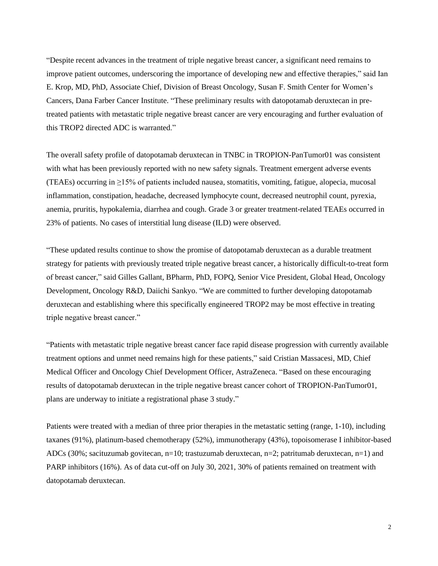"Despite recent advances in the treatment of triple negative breast cancer, a significant need remains to improve patient outcomes, underscoring the importance of developing new and effective therapies," said Ian E. Krop, MD, PhD, Associate Chief, Division of Breast Oncology, Susan F. Smith Center for Women's Cancers, Dana Farber Cancer Institute. "These preliminary results with datopotamab deruxtecan in pretreated patients with metastatic triple negative breast cancer are very encouraging and further evaluation of this TROP2 directed ADC is warranted."

The overall safety profile of datopotamab deruxtecan in TNBC in TROPION-PanTumor01 was consistent with what has been previously reported with no new safety signals. Treatment emergent adverse events (TEAEs) occurring in ≥15% of patients included nausea, stomatitis, vomiting, fatigue, alopecia, mucosal inflammation, constipation, headache, decreased lymphocyte count, decreased neutrophil count, pyrexia, anemia, pruritis, hypokalemia, diarrhea and cough. Grade 3 or greater treatment-related TEAEs occurred in 23% of patients. No cases of interstitial lung disease (ILD) were observed.

"These updated results continue to show the promise of datopotamab deruxtecan as a durable treatment strategy for patients with previously treated triple negative breast cancer, a historically difficult-to-treat form of breast cancer," said Gilles Gallant, BPharm, PhD, FOPQ, Senior Vice President, Global Head, Oncology Development, Oncology R&D, Daiichi Sankyo. "We are committed to further developing datopotamab deruxtecan and establishing where this specifically engineered TROP2 may be most effective in treating triple negative breast cancer."

"Patients with metastatic triple negative breast cancer face rapid disease progression with currently available treatment options and unmet need remains high for these patients," said Cristian Massacesi, MD, Chief Medical Officer and Oncology Chief Development Officer, AstraZeneca. "Based on these encouraging results of datopotamab deruxtecan in the triple negative breast cancer cohort of TROPION-PanTumor01, plans are underway to initiate a registrational phase 3 study."

Patients were treated with a median of three prior therapies in the metastatic setting (range, 1-10), including taxanes (91%), platinum-based chemotherapy (52%), immunotherapy (43%), topoisomerase I inhibitor-based ADCs (30%; sacituzumab govitecan, n=10; trastuzumab deruxtecan, n=2; patritumab deruxtecan, n=1) and PARP inhibitors (16%). As of data cut-off on July 30, 2021, 30% of patients remained on treatment with datopotamab deruxtecan.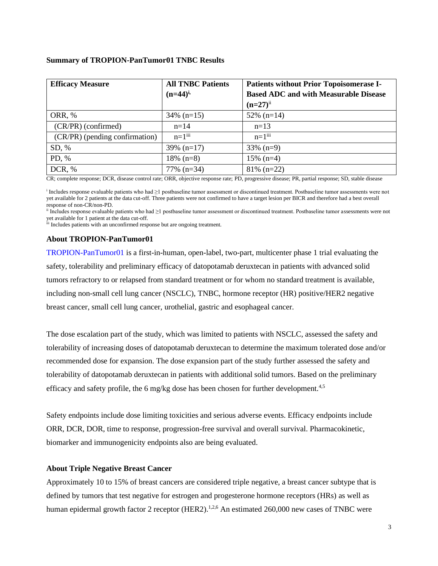## **Summary of TROPION-PanTumor01 TNBC Results**

| <b>Efficacy Measure</b>        | <b>All TNBC Patients</b> | <b>Patients without Prior Topoisomerase I-</b> |
|--------------------------------|--------------------------|------------------------------------------------|
|                                | $(n=44)^{i}$             | <b>Based ADC and with Measurable Disease</b>   |
|                                |                          | $(n=27)^{ii}$                                  |
| ORR, %                         | $34\%$ (n=15)            | $52\%$ (n=14)                                  |
| (CR/PR) (confirmed)            | $n=14$                   | $n=13$                                         |
| (CR/PR) (pending confirmation) | $n=1$ <sup>iii</sup>     | $n=1$ <sup>iii</sup>                           |
| SD, %                          | 39% $(n=17)$             | $33\%$ (n=9)                                   |
| PD, %                          | $18\%$ (n=8)             | $15\%$ (n=4)                                   |
| DCR, %                         | $77\%$ (n=34)            | $81\%$ (n=22)                                  |

CR; complete response; DCR, disease control rate; ORR, objective response rate; PD, progressive disease; PR, partial response; SD, stable disease

i Includes response evaluable patients who had ≥1 postbaseline tumor assessment or discontinued treatment. Postbaseline tumor assessments were not yet available for 2 patients at the data cut-off. Three patients were not confirmed to have a target lesion per BICR and therefore had a best overall response of non-CR/non-PD.

ii Includes response evaluable patients who had ≥1 postbaseline tumor assessment or discontinued treatment. Postbaseline tumor assessments were not yet available for 1 patient at the data cut-off.

iii Includes patients with an unconfirmed response but are ongoing treatment.

## **About TROPION-PanTumor01**

[TROPION-PanTumor01](https://clinicaltrials.gov/ct2/show/NCT03401385) is a first-in-human, open-label, two-part, multicenter phase 1 trial evaluating the safety, tolerability and preliminary efficacy of datopotamab deruxtecan in patients with advanced solid tumors refractory to or relapsed from standard treatment or for whom no standard treatment is available, including non-small cell lung cancer (NSCLC), TNBC, hormone receptor (HR) positive/HER2 negative breast cancer, small cell lung cancer, urothelial, gastric and esophageal cancer*.*

The dose escalation part of the study, which was limited to patients with NSCLC, assessed the safety and tolerability of increasing doses of datopotamab deruxtecan to determine the maximum tolerated dose and/or recommended dose for expansion. The dose expansion part of the study further assessed the safety and tolerability of datopotamab deruxtecan in patients with additional solid tumors. Based on the preliminary efficacy and safety profile, the 6 mg/kg dose has been chosen for further development.<sup>4,5</sup>

Safety endpoints include dose limiting toxicities and serious adverse events. Efficacy endpoints include ORR, DCR, DOR, time to response, progression-free survival and overall survival. Pharmacokinetic, biomarker and immunogenicity endpoints also are being evaluated.

## **About Triple Negative Breast Cancer**

Approximately 10 to 15% of breast cancers are considered triple negative, a breast cancer subtype that is defined by tumors that test negative for estrogen and progesterone hormone receptors (HRs) as well as human epidermal growth factor 2 receptor (HER2).<sup>[1,](#page-0-2)[2,6](#page-0-0)</sup> An estimated 260,000 new cases of TNBC were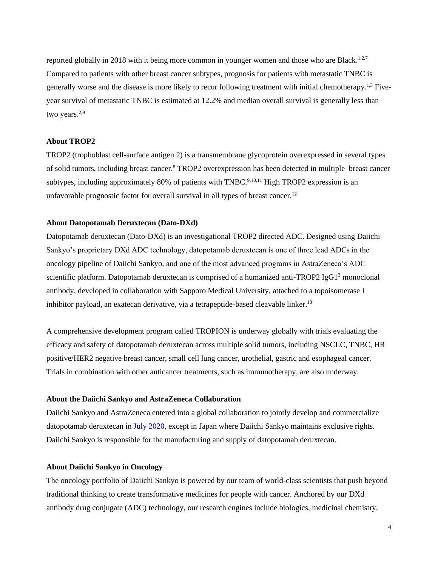reported globally in 2018 with it being more common in younger women and those who are Black.<sup>[1,](#page-0-2)[2,7](#page-0-0)</sup> Compared to patients with other breast cancer subtypes, prognosis for patients with metastatic TNBC is generally worse and the disease is more likely to recur following treatment with initial chemotherapy.[1,](#page-0-2)[3](#page-0-1) Fiveyear survival of metastatic TNBC is estimated at 12.2% and median overall survival is generally less than two years.<sup>[2,9](#page-0-0)</sup>

#### **About TROP2**

TROP2 (trophoblast cell-surface antigen 2) is a transmembrane glycoprotein overexpressed in several types of solid tumors, including breast cancer.<sup>8</sup> TROP2 overexpression has been detected in multiple breast cancer subtypes, including approximately 80% of patients with TNBC.<sup>9,10,11</sup> High TROP2 expression is an unfavorable prognostic factor for overall survival in all types of breast cancer.<sup>12</sup>

#### **About Datopotamab Deruxtecan (Dato-DXd)**

Datopotamab deruxtecan (Dato-DXd) is an investigational TROP2 directed ADC. Designed using Daiichi Sankyo's proprietary DXd ADC technology, datopotamab deruxtecan is one of three lead ADCs in the oncology pipeline of Daiichi Sankyo, and one of the most advanced programs in AstraZeneca's ADC scientific platform. Datopotamab deruxtecan is comprised of a humanized anti-TROP2 IgG1<sup>3</sup> monoclonal antibody, developed in collaboration with Sapporo Medical University, attached to a topoisomerase I inhibitor payload, an exatecan derivative, via a tetrapeptide-based cleavable linker.<sup>13</sup>

A comprehensive development program called TROPION is underway globally with trials evaluating the efficacy and safety of datopotamab deruxtecan across multiple solid tumors, including NSCLC, TNBC, HR positive/HER2 negative breast cancer, small cell lung cancer, urothelial, gastric and esophageal cancer. Trials in combination with other anticancer treatments, such as immunotherapy, are also underway.

#### **About the Daiichi Sankyo and AstraZeneca Collaboration**

Daiichi Sankyo and AstraZeneca entered into a global collaboration to jointly develop and commercialize datopotamab deruxtecan i[n July 2020,](https://www.daiichisankyo.com/media/press_release/detail/index_3126.html) except in Japan where Daiichi Sankyo maintains exclusive rights. Daiichi Sankyo is responsible for the manufacturing and supply of datopotamab deruxtecan.

#### **About Daiichi Sankyo in Oncology**

The oncology portfolio of Daiichi Sankyo is powered by our team of world-class scientists that push beyond traditional thinking to create transformative medicines for people with cancer. Anchored by our DXd antibody drug conjugate (ADC) technology, our research engines include biologics, medicinal chemistry,